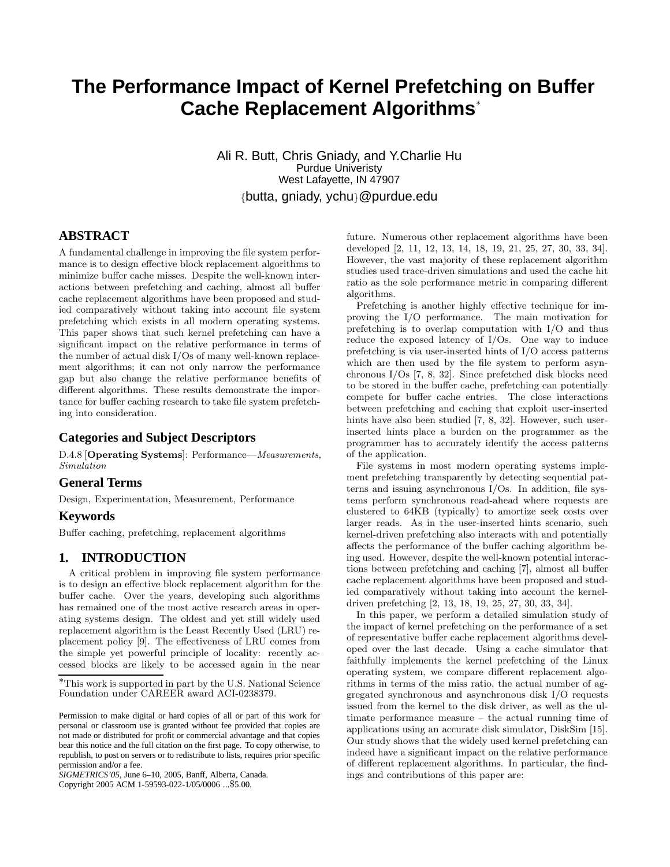# **The Performance Impact of Kernel Prefetching on Buffer Cache Replacement Algorithms**<sup>∗</sup>

Ali R. Butt, Chris Gniady, and Y.Charlie Hu Purdue Univeristy West Lafayette, IN 47907 {butta, gniady, ychu}@purdue.edu

# **ABSTRACT**

A fundamental challenge in improving the file system performance is to design effective block replacement algorithms to minimize buffer cache misses. Despite the well-known interactions between prefetching and caching, almost all buffer cache replacement algorithms have been proposed and studied comparatively without taking into account file system prefetching which exists in all modern operating systems. This paper shows that such kernel prefetching can have a significant impact on the relative performance in terms of the number of actual disk I/Os of many well-known replacement algorithms; it can not only narrow the performance gap but also change the relative performance benefits of different algorithms. These results demonstrate the importance for buffer caching research to take file system prefetching into consideration.

# **Categories and Subject Descriptors**

D.4.8 [Operating Systems]: Performance—Measurements, Simulation

# **General Terms**

Design, Experimentation, Measurement, Performance

### **Keywords**

Buffer caching, prefetching, replacement algorithms

# **1. INTRODUCTION**

A critical problem in improving file system performance is to design an effective block replacement algorithm for the buffer cache. Over the years, developing such algorithms has remained one of the most active research areas in operating systems design. The oldest and yet still widely used replacement algorithm is the Least Recently Used (LRU) replacement policy [9]. The effectiveness of LRU comes from the simple yet powerful principle of locality: recently accessed blocks are likely to be accessed again in the near

*SIGMETRICS'05,* June 6–10, 2005, Banff, Alberta, Canada.

Copyright 2005 ACM 1-59593-022-1/05/0006 ...\$5.00.

future. Numerous other replacement algorithms have been developed [2, 11, 12, 13, 14, 18, 19, 21, 25, 27, 30, 33, 34]. However, the vast majority of these replacement algorithm studies used trace-driven simulations and used the cache hit ratio as the sole performance metric in comparing different algorithms.

Prefetching is another highly effective technique for improving the I/O performance. The main motivation for prefetching is to overlap computation with I/O and thus reduce the exposed latency of I/Os. One way to induce prefetching is via user-inserted hints of I/O access patterns which are then used by the file system to perform asynchronous I/Os [7, 8, 32]. Since prefetched disk blocks need to be stored in the buffer cache, prefetching can potentially compete for buffer cache entries. The close interactions between prefetching and caching that exploit user-inserted hints have also been studied [7, 8, 32]. However, such userinserted hints place a burden on the programmer as the programmer has to accurately identify the access patterns of the application.

File systems in most modern operating systems implement prefetching transparently by detecting sequential patterns and issuing asynchronous I/Os. In addition, file systems perform synchronous read-ahead where requests are clustered to 64KB (typically) to amortize seek costs over larger reads. As in the user-inserted hints scenario, such kernel-driven prefetching also interacts with and potentially affects the performance of the buffer caching algorithm being used. However, despite the well-known potential interactions between prefetching and caching [7], almost all buffer cache replacement algorithms have been proposed and studied comparatively without taking into account the kerneldriven prefetching [2, 13, 18, 19, 25, 27, 30, 33, 34].

In this paper, we perform a detailed simulation study of the impact of kernel prefetching on the performance of a set of representative buffer cache replacement algorithms developed over the last decade. Using a cache simulator that faithfully implements the kernel prefetching of the Linux operating system, we compare different replacement algorithms in terms of the miss ratio, the actual number of aggregated synchronous and asynchronous disk I/O requests issued from the kernel to the disk driver, as well as the ultimate performance measure – the actual running time of applications using an accurate disk simulator, DiskSim [15]. Our study shows that the widely used kernel prefetching can indeed have a significant impact on the relative performance of different replacement algorithms. In particular, the findings and contributions of this paper are:

<sup>∗</sup>This work is supported in part by the U.S. National Science Foundation under CAREER award ACI-0238379.

Permission to make digital or hard copies of all or part of this work for personal or classroom use is granted without fee provided that copies are not made or distributed for profit or commercial advantage and that copies bear this notice and the full citation on the first page. To copy otherwise, to republish, to post on servers or to redistribute to lists, requires prior specific permission and/or a fee.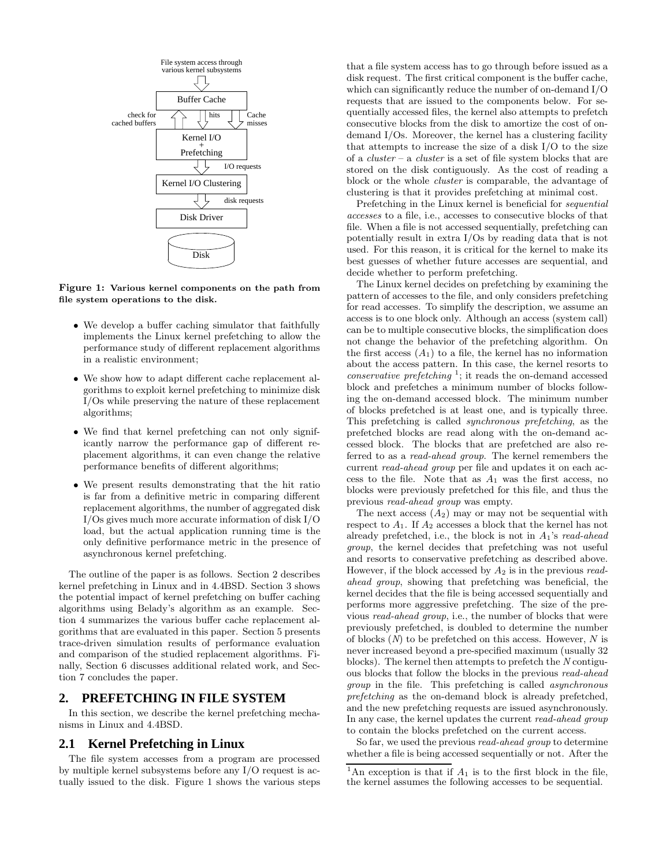

Figure 1: Various kernel components on the path from file system operations to the disk.

- We develop a buffer caching simulator that faithfully implements the Linux kernel prefetching to allow the performance study of different replacement algorithms in a realistic environment;
- We show how to adapt different cache replacement algorithms to exploit kernel prefetching to minimize disk I/Os while preserving the nature of these replacement algorithms;
- We find that kernel prefetching can not only significantly narrow the performance gap of different replacement algorithms, it can even change the relative performance benefits of different algorithms;
- We present results demonstrating that the hit ratio is far from a definitive metric in comparing different replacement algorithms, the number of aggregated disk I/Os gives much more accurate information of disk I/O load, but the actual application running time is the only definitive performance metric in the presence of asynchronous kernel prefetching.

The outline of the paper is as follows. Section 2 describes kernel prefetching in Linux and in 4.4BSD. Section 3 shows the potential impact of kernel prefetching on buffer caching algorithms using Belady's algorithm as an example. Section 4 summarizes the various buffer cache replacement algorithms that are evaluated in this paper. Section 5 presents trace-driven simulation results of performance evaluation and comparison of the studied replacement algorithms. Finally, Section 6 discusses additional related work, and Section 7 concludes the paper.

# **2. PREFETCHING IN FILE SYSTEM**

In this section, we describe the kernel prefetching mechanisms in Linux and 4.4BSD.

# **2.1 Kernel Prefetching in Linux**

The file system accesses from a program are processed by multiple kernel subsystems before any I/O request is actually issued to the disk. Figure 1 shows the various steps that a file system access has to go through before issued as a disk request. The first critical component is the buffer cache, which can significantly reduce the number of on-demand I/O requests that are issued to the components below. For sequentially accessed files, the kernel also attempts to prefetch consecutive blocks from the disk to amortize the cost of ondemand I/Os. Moreover, the kernel has a clustering facility that attempts to increase the size of a disk I/O to the size of a *cluster* – a *cluster* is a set of file system blocks that are stored on the disk contiguously. As the cost of reading a block or the whole cluster is comparable, the advantage of clustering is that it provides prefetching at minimal cost.

Prefetching in the Linux kernel is beneficial for sequential accesses to a file, i.e., accesses to consecutive blocks of that file. When a file is not accessed sequentially, prefetching can potentially result in extra I/Os by reading data that is not used. For this reason, it is critical for the kernel to make its best guesses of whether future accesses are sequential, and decide whether to perform prefetching.

The Linux kernel decides on prefetching by examining the pattern of accesses to the file, and only considers prefetching for read accesses. To simplify the description, we assume an access is to one block only. Although an access (system call) can be to multiple consecutive blocks, the simplification does not change the behavior of the prefetching algorithm. On the first access  $(A_1)$  to a file, the kernel has no information about the access pattern. In this case, the kernel resorts to conservative prefetching  $\frac{1}{1}$ ; it reads the on-demand accessed block and prefetches a minimum number of blocks following the on-demand accessed block. The minimum number of blocks prefetched is at least one, and is typically three. This prefetching is called synchronous prefetching, as the prefetched blocks are read along with the on-demand accessed block. The blocks that are prefetched are also referred to as a read-ahead group. The kernel remembers the current read-ahead group per file and updates it on each access to the file. Note that as  $A_1$  was the first access, no blocks were previously prefetched for this file, and thus the previous read-ahead group was empty.

The next access  $(A_2)$  may or may not be sequential with respect to  $A_1$ . If  $A_2$  accesses a block that the kernel has not already prefetched, i.e., the block is not in  $A_1$ 's read-ahead group, the kernel decides that prefetching was not useful and resorts to conservative prefetching as described above. However, if the block accessed by  $A_2$  is in the previous readahead group, showing that prefetching was beneficial, the kernel decides that the file is being accessed sequentially and performs more aggressive prefetching. The size of the previous read-ahead group, i.e., the number of blocks that were previously prefetched, is doubled to determine the number of blocks  $(N)$  to be prefetched on this access. However, N is never increased beyond a pre-specified maximum (usually 32 blocks). The kernel then attempts to prefetch the N contiguous blocks that follow the blocks in the previous read-ahead group in the file. This prefetching is called asynchronous prefetching as the on-demand block is already prefetched, and the new prefetching requests are issued asynchronously. In any case, the kernel updates the current read-ahead group to contain the blocks prefetched on the current access.

So far, we used the previous read-ahead group to determine whether a file is being accessed sequentially or not. After the

<sup>&</sup>lt;sup>1</sup>An exception is that if  $A_1$  is to the first block in the file, the kernel assumes the following accesses to be sequential.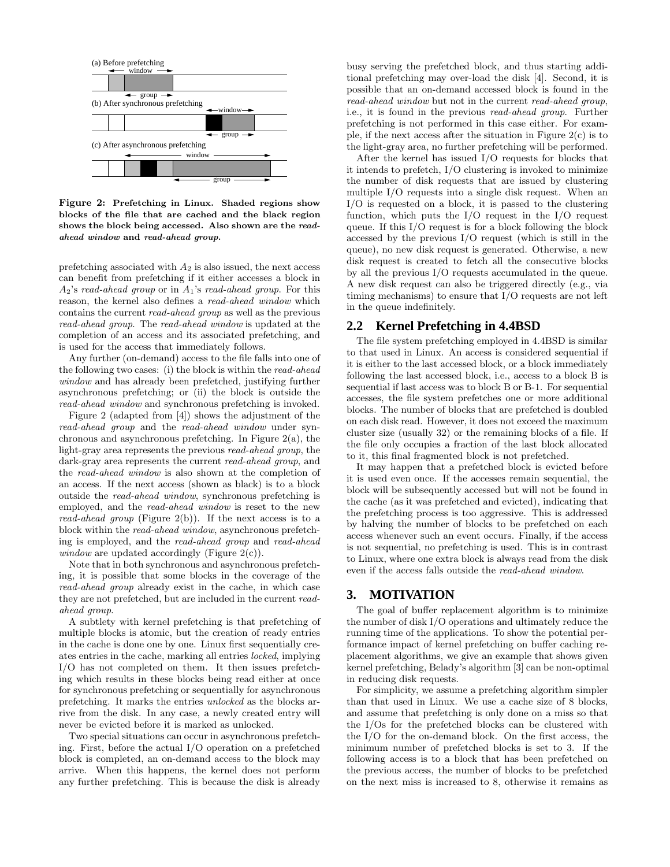

Figure 2: Prefetching in Linux. Shaded regions show blocks of the file that are cached and the black region shows the block being accessed. Also shown are the readahead window and read-ahead group.

prefetching associated with  $A_2$  is also issued, the next access can benefit from prefetching if it either accesses a block in  $A_2$ 's read-ahead group or in  $A_1$ 's read-ahead group. For this reason, the kernel also defines a read-ahead window which contains the current read-ahead group as well as the previous read-ahead group. The read-ahead window is updated at the completion of an access and its associated prefetching, and is used for the access that immediately follows.

Any further (on-demand) access to the file falls into one of the following two cases: (i) the block is within the read-ahead window and has already been prefetched, justifying further asynchronous prefetching; or (ii) the block is outside the read-ahead window and synchronous prefetching is invoked.

Figure 2 (adapted from [4]) shows the adjustment of the read-ahead group and the read-ahead window under synchronous and asynchronous prefetching. In Figure 2(a), the light-gray area represents the previous read-ahead group, the dark-gray area represents the current read-ahead group, and the read-ahead window is also shown at the completion of an access. If the next access (shown as black) is to a block outside the read-ahead window, synchronous prefetching is employed, and the read-ahead window is reset to the new read-ahead group (Figure 2(b)). If the next access is to a block within the read-ahead window, asynchronous prefetching is employed, and the read-ahead group and read-ahead window are updated accordingly (Figure  $2(c)$ ).

Note that in both synchronous and asynchronous prefetching, it is possible that some blocks in the coverage of the read-ahead group already exist in the cache, in which case they are not prefetched, but are included in the current readahead group.

A subtlety with kernel prefetching is that prefetching of multiple blocks is atomic, but the creation of ready entries in the cache is done one by one. Linux first sequentially creates entries in the cache, marking all entries locked, implying I/O has not completed on them. It then issues prefetching which results in these blocks being read either at once for synchronous prefetching or sequentially for asynchronous prefetching. It marks the entries unlocked as the blocks arrive from the disk. In any case, a newly created entry will never be evicted before it is marked as unlocked.

Two special situations can occur in asynchronous prefetching. First, before the actual I/O operation on a prefetched block is completed, an on-demand access to the block may arrive. When this happens, the kernel does not perform any further prefetching. This is because the disk is already busy serving the prefetched block, and thus starting additional prefetching may over-load the disk [4]. Second, it is possible that an on-demand accessed block is found in the read-ahead window but not in the current read-ahead group, i.e., it is found in the previous read-ahead group. Further prefetching is not performed in this case either. For example, if the next access after the situation in Figure  $2(c)$  is to the light-gray area, no further prefetching will be performed.

After the kernel has issued I/O requests for blocks that it intends to prefetch, I/O clustering is invoked to minimize the number of disk requests that are issued by clustering multiple I/O requests into a single disk request. When an I/O is requested on a block, it is passed to the clustering function, which puts the I/O request in the I/O request queue. If this I/O request is for a block following the block accessed by the previous I/O request (which is still in the queue), no new disk request is generated. Otherwise, a new disk request is created to fetch all the consecutive blocks by all the previous I/O requests accumulated in the queue. A new disk request can also be triggered directly (e.g., via timing mechanisms) to ensure that I/O requests are not left in the queue indefinitely.

### **2.2 Kernel Prefetching in 4.4BSD**

The file system prefetching employed in 4.4BSD is similar to that used in Linux. An access is considered sequential if it is either to the last accessed block, or a block immediately following the last accessed block, i.e., access to a block B is sequential if last access was to block B or B-1. For sequential accesses, the file system prefetches one or more additional blocks. The number of blocks that are prefetched is doubled on each disk read. However, it does not exceed the maximum cluster size (usually 32) or the remaining blocks of a file. If the file only occupies a fraction of the last block allocated to it, this final fragmented block is not prefetched.

It may happen that a prefetched block is evicted before it is used even once. If the accesses remain sequential, the block will be subsequently accessed but will not be found in the cache (as it was prefetched and evicted), indicating that the prefetching process is too aggressive. This is addressed by halving the number of blocks to be prefetched on each access whenever such an event occurs. Finally, if the access is not sequential, no prefetching is used. This is in contrast to Linux, where one extra block is always read from the disk even if the access falls outside the read-ahead window.

# **3. MOTIVATION**

The goal of buffer replacement algorithm is to minimize the number of disk I/O operations and ultimately reduce the running time of the applications. To show the potential performance impact of kernel prefetching on buffer caching replacement algorithms, we give an example that shows given kernel prefetching, Belady's algorithm [3] can be non-optimal in reducing disk requests.

For simplicity, we assume a prefetching algorithm simpler than that used in Linux. We use a cache size of 8 blocks, and assume that prefetching is only done on a miss so that the I/Os for the prefetched blocks can be clustered with the I/O for the on-demand block. On the first access, the minimum number of prefetched blocks is set to 3. If the following access is to a block that has been prefetched on the previous access, the number of blocks to be prefetched on the next miss is increased to 8, otherwise it remains as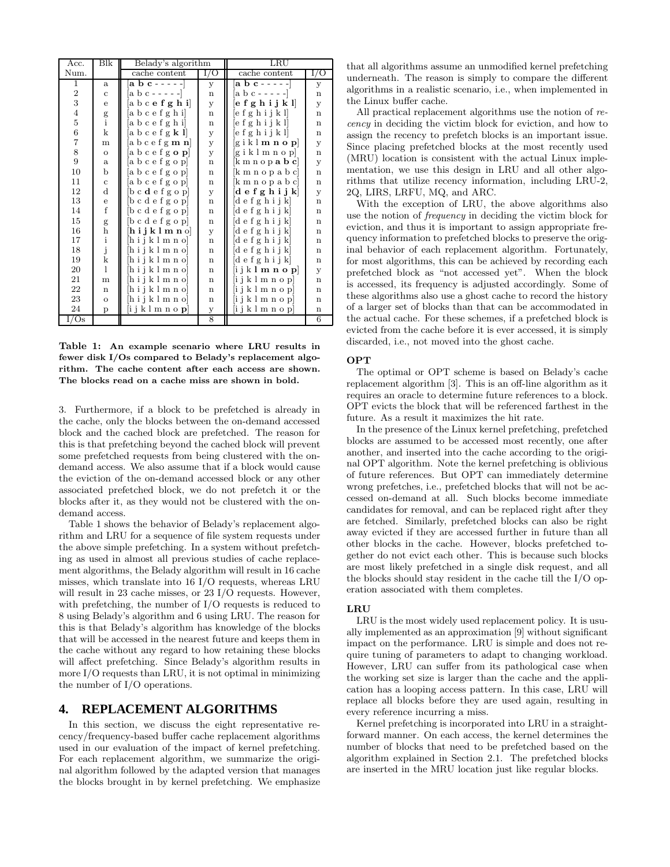| Acc.             | Blk           | Belady's algorithm                                                                              |             | LRU                     |             |
|------------------|---------------|-------------------------------------------------------------------------------------------------|-------------|-------------------------|-------------|
| Num.             |               | cache content                                                                                   | I/O         | cache content           | 1/O         |
| 1                | a             | $a \ b \ c \ - \ - \ -$                                                                         | y           | $a \ b \ c \ - \ - \ -$ | У           |
| $\boldsymbol{2}$ | $\mathbf{c}$  | $a \ b \ c \ - \ - \ - \ - \$                                                                   | $\mathbf n$ | $a b c - - - -$         | $\mathbf n$ |
| 3                | e             | abcefghi                                                                                        | у           | [e f g h i j k]         | У           |
| $\overline{4}$   | $\frac{g}{i}$ | abcefghi                                                                                        | $\mathbf n$ | efghijkl                | $\mathbf n$ |
| 5                |               | abcefghi                                                                                        | $\mathbf n$ | efghijkl]               | n           |
| $\,6$            | k             | abcefg <b>kl</b>                                                                                | у           | efghijkl                | n           |
| $\overline{7}$   | m             | abcefgmn                                                                                        | у           | giklmnop                | у           |
| 8                | $\circ$       | abcefgop                                                                                        | y           | giklmnop                | $\mathbf n$ |
| 9                | a             | abcefgop                                                                                        | $\mathbf n$ | kmnop <b>abc</b>        | у           |
| 10               | b             | abcefgop                                                                                        | $\mathbf n$ | kmnopabc                | $\mathbf n$ |
| 11               | $\mathbf c$   | abcefgop]                                                                                       | $\mathbf n$ | k m n o p a b c         | $\mathbf n$ |
| 12               | d             | $\left[\mathrm{b}\mathrm{c}\mathrm{d}\mathrm{e}\mathrm{f}\mathrm{g}\mathrm{o}\mathrm{p}\right]$ | у           | [defghijk]              | у           |
| 13               | $\mathbf e$   | b c d e f g o p                                                                                 | $\mathbf n$ | defghijk]               | $\mathbf n$ |
| 14               | $\mathbf f$   | b c d e f g o p                                                                                 | $\mathbf n$ | defghijk                | $\mathbf n$ |
| 15               | g             | [b c d e f g o p]                                                                               | $\mathbf n$ | defghijk]               | $\mathbf n$ |
| 16               | $\mathbf h$   | $[\textbf{h} \textbf{i} \textbf{j} \textbf{k} \textbf{l} \textbf{m} \textbf{n} \textbf{o}]$     | у           | defghijk]               | $\mathbf n$ |
| 17               | $\mathbf{i}$  | [h i j k l m n o                                                                                | $\mathbf n$ | defghijk]               | n           |
| 18               | j             | hijklmno]                                                                                       | $\mathbf n$ | [d e f g h i j k]       | n           |
| 19               | $\mathbf k$   | [h i j k l m n o]                                                                               | $\mathbf n$ | d e f g h i j k]        | n           |
| 20               | 1             | [h i j k l m n o]                                                                               | n           | ijk l m n o p           | У           |
| 21               | m             | hijklmno]                                                                                       | n           | ijk 1 m n o pl          | n           |
| 22               | $\mathbf n$   | hijklmno                                                                                        | n           | ijk 1 m n o p           | n           |
| 23               | $\circ$       | [h i j k l m n o]                                                                               | $\mathbf n$ | ijklmnop                | n           |
| 24               | p             | ijklmnop]                                                                                       | у           | [i j k l m n o p]       | n           |
| $\rm I/Os$       |               |                                                                                                 | 8           |                         | 6           |

Table 1: An example scenario where LRU results in fewer disk I/Os compared to Belady's replacement algorithm. The cache content after each access are shown. The blocks read on a cache miss are shown in bold.

3. Furthermore, if a block to be prefetched is already in the cache, only the blocks between the on-demand accessed block and the cached block are prefetched. The reason for this is that prefetching beyond the cached block will prevent some prefetched requests from being clustered with the ondemand access. We also assume that if a block would cause the eviction of the on-demand accessed block or any other associated prefetched block, we do not prefetch it or the blocks after it, as they would not be clustered with the ondemand access.

Table 1 shows the behavior of Belady's replacement algorithm and LRU for a sequence of file system requests under the above simple prefetching. In a system without prefetching as used in almost all previous studies of cache replacement algorithms, the Belady algorithm will result in 16 cache misses, which translate into 16 I/O requests, whereas LRU will result in 23 cache misses, or 23 I/O requests. However, with prefetching, the number of I/O requests is reduced to 8 using Belady's algorithm and 6 using LRU. The reason for this is that Belady's algorithm has knowledge of the blocks that will be accessed in the nearest future and keeps them in the cache without any regard to how retaining these blocks will affect prefetching. Since Belady's algorithm results in more I/O requests than LRU, it is not optimal in minimizing the number of I/O operations.

## **4. REPLACEMENT ALGORITHMS**

In this section, we discuss the eight representative recency/frequency-based buffer cache replacement algorithms used in our evaluation of the impact of kernel prefetching. For each replacement algorithm, we summarize the original algorithm followed by the adapted version that manages the blocks brought in by kernel prefetching. We emphasize that all algorithms assume an unmodified kernel prefetching underneath. The reason is simply to compare the different algorithms in a realistic scenario, i.e., when implemented in the Linux buffer cache.

All practical replacement algorithms use the notion of recency in deciding the victim block for eviction, and how to assign the recency to prefetch blocks is an important issue. Since placing prefetched blocks at the most recently used (MRU) location is consistent with the actual Linux implementation, we use this design in LRU and all other algorithms that utilize recency information, including LRU-2, 2Q, LIRS, LRFU, MQ, and ARC.

With the exception of LRU, the above algorithms also use the notion of frequency in deciding the victim block for eviction, and thus it is important to assign appropriate frequency information to prefetched blocks to preserve the original behavior of each replacement algorithm. Fortunately, for most algorithms, this can be achieved by recording each prefetched block as "not accessed yet". When the block is accessed, its frequency is adjusted accordingly. Some of these algorithms also use a ghost cache to record the history of a larger set of blocks than that can be accommodated in the actual cache. For these schemes, if a prefetched block is evicted from the cache before it is ever accessed, it is simply discarded, i.e., not moved into the ghost cache.

#### **OPT**

The optimal or OPT scheme is based on Belady's cache replacement algorithm [3]. This is an off-line algorithm as it requires an oracle to determine future references to a block. OPT evicts the block that will be referenced farthest in the future. As a result it maximizes the hit rate.

In the presence of the Linux kernel prefetching, prefetched blocks are assumed to be accessed most recently, one after another, and inserted into the cache according to the original OPT algorithm. Note the kernel prefetching is oblivious of future references. But OPT can immediately determine wrong prefetches, i.e., prefetched blocks that will not be accessed on-demand at all. Such blocks become immediate candidates for removal, and can be replaced right after they are fetched. Similarly, prefetched blocks can also be right away evicted if they are accessed further in future than all other blocks in the cache. However, blocks prefetched together do not evict each other. This is because such blocks are most likely prefetched in a single disk request, and all the blocks should stay resident in the cache till the I/O operation associated with them completes.

#### LRU

LRU is the most widely used replacement policy. It is usually implemented as an approximation [9] without significant impact on the performance. LRU is simple and does not require tuning of parameters to adapt to changing workload. However, LRU can suffer from its pathological case when the working set size is larger than the cache and the application has a looping access pattern. In this case, LRU will replace all blocks before they are used again, resulting in every reference incurring a miss.

Kernel prefetching is incorporated into LRU in a straightforward manner. On each access, the kernel determines the number of blocks that need to be prefetched based on the algorithm explained in Section 2.1. The prefetched blocks are inserted in the MRU location just like regular blocks.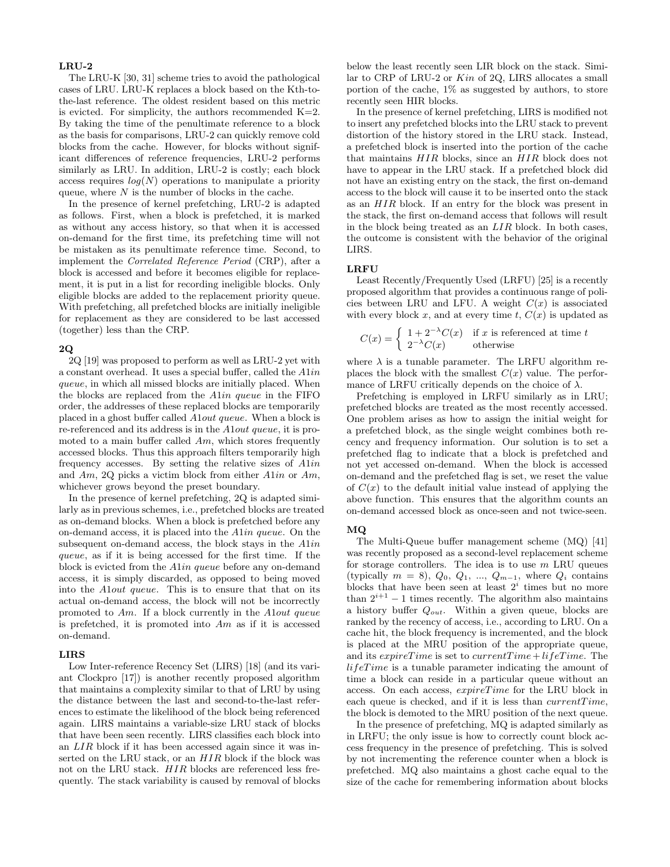### LRU-2

The LRU-K [30, 31] scheme tries to avoid the pathological cases of LRU. LRU-K replaces a block based on the Kth-tothe-last reference. The oldest resident based on this metric is evicted. For simplicity, the authors recommended  $K=2$ . By taking the time of the penultimate reference to a block as the basis for comparisons, LRU-2 can quickly remove cold blocks from the cache. However, for blocks without significant differences of reference frequencies, LRU-2 performs similarly as LRU. In addition, LRU-2 is costly; each block access requires  $log(N)$  operations to manipulate a priority queue, where  $N$  is the number of blocks in the cache.

In the presence of kernel prefetching, LRU-2 is adapted as follows. First, when a block is prefetched, it is marked as without any access history, so that when it is accessed on-demand for the first time, its prefetching time will not be mistaken as its penultimate reference time. Second, to implement the Correlated Reference Period (CRP), after a block is accessed and before it becomes eligible for replacement, it is put in a list for recording ineligible blocks. Only eligible blocks are added to the replacement priority queue. With prefetching, all prefetched blocks are initially ineligible for replacement as they are considered to be last accessed (together) less than the CRP.

### 2Q

2Q [19] was proposed to perform as well as LRU-2 yet with a constant overhead. It uses a special buffer, called the A1in queue, in which all missed blocks are initially placed. When the blocks are replaced from the A1in queue in the FIFO order, the addresses of these replaced blocks are temporarily placed in a ghost buffer called A1out queue. When a block is re-referenced and its address is in the A1out queue, it is promoted to a main buffer called  $Am$ , which stores frequently accessed blocks. Thus this approach filters temporarily high frequency accesses. By setting the relative sizes of A1in and  $Am$ , 2Q picks a victim block from either  $Alin$  or  $Am$ , whichever grows beyond the preset boundary.

In the presence of kernel prefetching, 2Q is adapted similarly as in previous schemes, i.e., prefetched blocks are treated as on-demand blocks. When a block is prefetched before any on-demand access, it is placed into the A1in queue. On the subsequent on-demand access, the block stays in the  $A1in$ queue, as if it is being accessed for the first time. If the block is evicted from the A1in queue before any on-demand access, it is simply discarded, as opposed to being moved into the A1out queue. This is to ensure that that on its actual on-demand access, the block will not be incorrectly promoted to Am. If a block currently in the A1out queue is prefetched, it is promoted into  $Am$  as if it is accessed on-demand.

#### LIRS

Low Inter-reference Recency Set (LIRS) [18] (and its variant Clockpro [17]) is another recently proposed algorithm that maintains a complexity similar to that of LRU by using the distance between the last and second-to-the-last references to estimate the likelihood of the block being referenced again. LIRS maintains a variable-size LRU stack of blocks that have been seen recently. LIRS classifies each block into an LIR block if it has been accessed again since it was inserted on the LRU stack, or an  $HIR$  block if the block was not on the LRU stack. HIR blocks are referenced less frequently. The stack variability is caused by removal of blocks

below the least recently seen LIR block on the stack. Similar to CRP of LRU-2 or Kin of 2Q, LIRS allocates a small portion of the cache,  $1\%$  as suggested by authors, to store recently seen HIR blocks.

In the presence of kernel prefetching, LIRS is modified not to insert any prefetched blocks into the LRU stack to prevent distortion of the history stored in the LRU stack. Instead, a prefetched block is inserted into the portion of the cache that maintains HIR blocks, since an HIR block does not have to appear in the LRU stack. If a prefetched block did not have an existing entry on the stack, the first on-demand access to the block will cause it to be inserted onto the stack as an HIR block. If an entry for the block was present in the stack, the first on-demand access that follows will result in the block being treated as an LIR block. In both cases, the outcome is consistent with the behavior of the original LIRS.

#### LRFU

Least Recently/Frequently Used (LRFU) [25] is a recently proposed algorithm that provides a continuous range of policies between LRU and LFU. A weight  $C(x)$  is associated with every block x, and at every time t,  $C(x)$  is updated as

$$
C(x) = \begin{cases} 1 + 2^{-\lambda} C(x) & \text{if } x \text{ is referenced at time } t \\ 2^{-\lambda} C(x) & \text{otherwise} \end{cases}
$$

where  $\lambda$  is a tunable parameter. The LRFU algorithm replaces the block with the smallest  $C(x)$  value. The performance of LRFU critically depends on the choice of  $\lambda$ .

Prefetching is employed in LRFU similarly as in LRU; prefetched blocks are treated as the most recently accessed. One problem arises as how to assign the initial weight for a prefetched block, as the single weight combines both recency and frequency information. Our solution is to set a prefetched flag to indicate that a block is prefetched and not yet accessed on-demand. When the block is accessed on-demand and the prefetched flag is set, we reset the value of  $C(x)$  to the default initial value instead of applying the above function. This ensures that the algorithm counts an on-demand accessed block as once-seen and not twice-seen.

#### MQ

The Multi-Queue buffer management scheme (MQ) [41] was recently proposed as a second-level replacement scheme for storage controllers. The idea is to use  $m$  LRU queues (typically  $m = 8$ ),  $Q_0$ ,  $Q_1$ , ...,  $Q_{m-1}$ , where  $Q_i$  contains blocks that have been seen at least  $2^i$  times but no more than  $2^{i+1} - 1$  times recently. The algorithm also maintains a history buffer  $Q_{out}$ . Within a given queue, blocks are ranked by the recency of access, i.e., according to LRU. On a cache hit, the block frequency is incremented, and the block is placed at the MRU position of the appropriate queue, and its expireTime is set to currentTime +  $lifeTime$ . The lifeTime is a tunable parameter indicating the amount of time a block can reside in a particular queue without an access. On each access, expireTime for the LRU block in each queue is checked, and if it is less than  $currentTime$ , the block is demoted to the MRU position of the next queue.

In the presence of prefetching, MQ is adapted similarly as in LRFU; the only issue is how to correctly count block access frequency in the presence of prefetching. This is solved by not incrementing the reference counter when a block is prefetched. MQ also maintains a ghost cache equal to the size of the cache for remembering information about blocks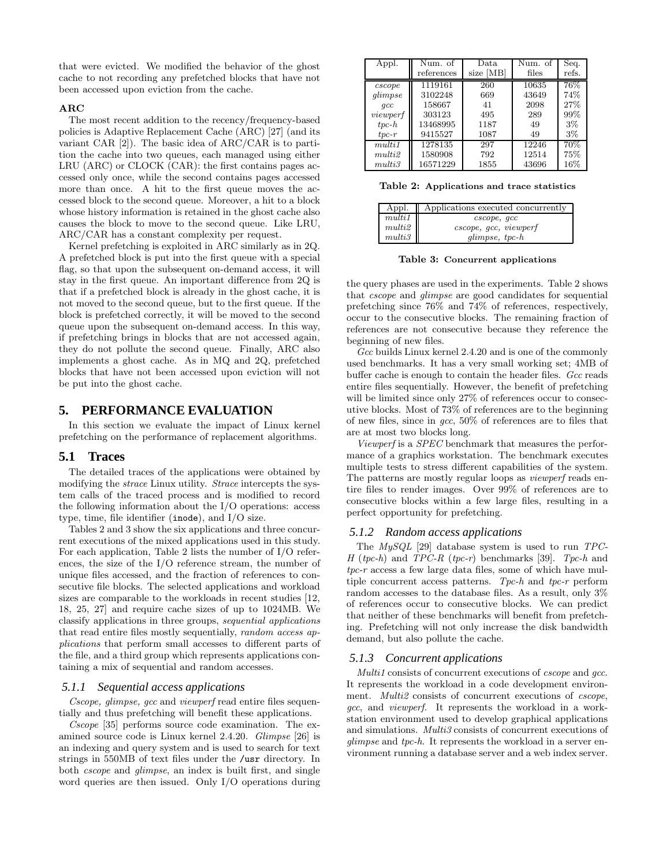that were evicted. We modified the behavior of the ghost cache to not recording any prefetched blocks that have not been accessed upon eviction from the cache.

### ARC

The most recent addition to the recency/frequency-based policies is Adaptive Replacement Cache (ARC) [27] (and its variant CAR [2]). The basic idea of ARC/CAR is to partition the cache into two queues, each managed using either LRU (ARC) or CLOCK (CAR): the first contains pages accessed only once, while the second contains pages accessed more than once. A hit to the first queue moves the accessed block to the second queue. Moreover, a hit to a block whose history information is retained in the ghost cache also causes the block to move to the second queue. Like LRU, ARC/CAR has a constant complexity per request.

Kernel prefetching is exploited in ARC similarly as in 2Q. A prefetched block is put into the first queue with a special flag, so that upon the subsequent on-demand access, it will stay in the first queue. An important difference from 2Q is that if a prefetched block is already in the ghost cache, it is not moved to the second queue, but to the first queue. If the block is prefetched correctly, it will be moved to the second queue upon the subsequent on-demand access. In this way, if prefetching brings in blocks that are not accessed again, they do not pollute the second queue. Finally, ARC also implements a ghost cache. As in MQ and 2Q, prefetched blocks that have not been accessed upon eviction will not be put into the ghost cache.

## **5. PERFORMANCE EVALUATION**

In this section we evaluate the impact of Linux kernel prefetching on the performance of replacement algorithms.

# **5.1 Traces**

The detailed traces of the applications were obtained by modifying the strace Linux utility. Strace intercepts the system calls of the traced process and is modified to record the following information about the I/O operations: access type, time, file identifier (inode), and I/O size.

Tables 2 and 3 show the six applications and three concurrent executions of the mixed applications used in this study. For each application, Table 2 lists the number of I/O references, the size of the I/O reference stream, the number of unique files accessed, and the fraction of references to consecutive file blocks. The selected applications and workload sizes are comparable to the workloads in recent studies [12, 18, 25, 27] and require cache sizes of up to 1024MB. We classify applications in three groups, sequential applications that read entire files mostly sequentially, random access applications that perform small accesses to different parts of the file, and a third group which represents applications containing a mix of sequential and random accesses.

### *5.1.1 Sequential access applications*

Cscope, glimpse, gcc and viewperf read entire files sequentially and thus prefetching will benefit these applications.

Cscope [35] performs source code examination. The examined source code is Linux kernel 2.4.20. Glimpse [26] is an indexing and query system and is used to search for text strings in 550MB of text files under the /usr directory. In both cscope and glimpse, an index is built first, and single word queries are then issued. Only I/O operations during

| Appl.    | Num. of    | Data.     | Num. of | Seq.   |
|----------|------------|-----------|---------|--------|
|          | references | size [MB] | files   | refs.  |
| cscope   | 1119161    | 260       | 10635   | 76%    |
| glimpse  | 3102248    | 669       | 43649   | 74%    |
| qcc      | 158667     | 41        | 2098    | 27%    |
| viewperf | 303123     | 495       | 289     | 99%    |
| $tpc-h$  | 13468995   | 1187      | 49      | $3\%$  |
| $tpc-r$  | 9415527    | 1087      | 49      | $3\%$  |
| multi1   | 1278135    | 297       | 12246   | 70%    |
| multi2   | 1580908    | 792       | 12514   | 75%    |
| multis   | 16571229   | 1855      | 43696   | $16\%$ |

Table 2: Applications and trace statistics

|        | Appl.   Applications executed concurrently |
|--------|--------------------------------------------|
| multi1 | cscope, qcc                                |
| multi2 | cscope, gcc, viewperf                      |
| multi3 | $glimpse, tpc-h$                           |

Table 3: Concurrent applications

the query phases are used in the experiments. Table 2 shows that cscope and glimpse are good candidates for sequential prefetching since 76% and 74% of references, respectively, occur to the consecutive blocks. The remaining fraction of references are not consecutive because they reference the beginning of new files.

Gcc builds Linux kernel 2.4.20 and is one of the commonly used benchmarks. It has a very small working set; 4MB of buffer cache is enough to contain the header files. Gcc reads entire files sequentially. However, the benefit of prefetching will be limited since only 27% of references occur to consecutive blocks. Most of 73% of references are to the beginning of new files, since in gcc, 50% of references are to files that are at most two blocks long.

Viewperf is a SPEC benchmark that measures the performance of a graphics workstation. The benchmark executes multiple tests to stress different capabilities of the system. The patterns are mostly regular loops as viewperf reads entire files to render images. Over 99% of references are to consecutive blocks within a few large files, resulting in a perfect opportunity for prefetching.

#### *5.1.2 Random access applications*

The  $MySQL$  [29] database system is used to run TPC- $H$  (tpc-h) and TPC-R (tpc-r) benchmarks [39]. Tpc-h and  $tpc-r$  access a few large data files, some of which have multiple concurrent access patterns. Tpc-h and tpc-r perform random accesses to the database files. As a result, only 3% of references occur to consecutive blocks. We can predict that neither of these benchmarks will benefit from prefetching. Prefetching will not only increase the disk bandwidth demand, but also pollute the cache.

#### *5.1.3 Concurrent applications*

Multi1 consists of concurrent executions of *cscope* and *gcc*. It represents the workload in a code development environment. *Multi2* consists of concurrent executions of *cscope*, gcc, and viewperf. It represents the workload in a workstation environment used to develop graphical applications and simulations. Multi3 consists of concurrent executions of glimpse and tpc-h. It represents the workload in a server environment running a database server and a web index server.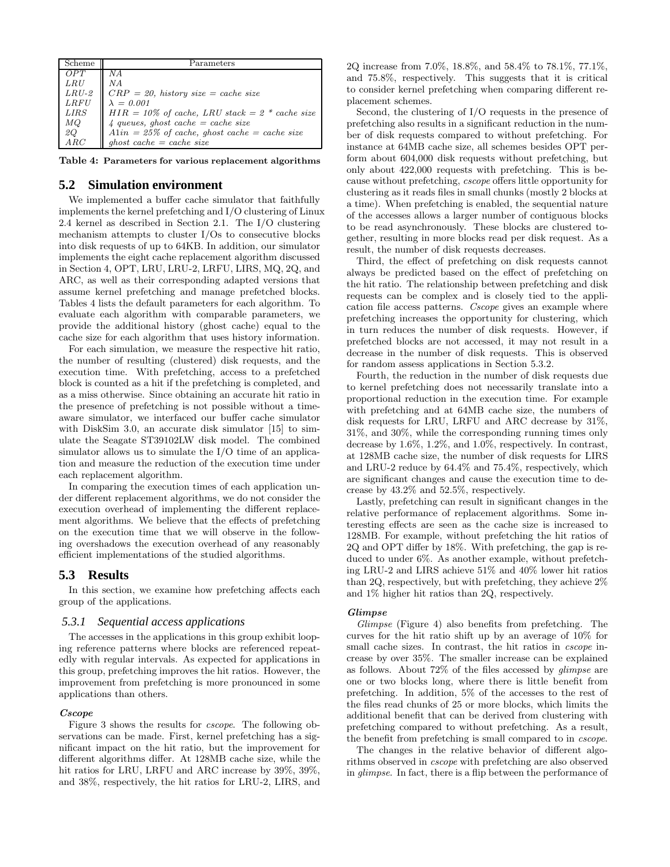| Scheme      | Parameters                                          |  |  |
|-------------|-----------------------------------------------------|--|--|
| OPT         | ΝA                                                  |  |  |
| LRU         | ΝA                                                  |  |  |
| $LRU-2$     | $CRP = 20$ , history size = cache size              |  |  |
| <b>LRFU</b> | $\lambda = 0.001$                                   |  |  |
| <b>LIRS</b> | $HIR = 10\%$ of cache, LRU stack = 2 $*$ cache size |  |  |
| MQ          | $4$ queues, ghost cache = cache size                |  |  |
| 2Q          | $A1in = 25\%$ of cache, ghost cache = cache size    |  |  |
| ARC         | $qhost\ cache = cache\ size$                        |  |  |

Table 4: Parameters for various replacement algorithms

### **5.2 Simulation environment**

We implemented a buffer cache simulator that faithfully implements the kernel prefetching and I/O clustering of Linux 2.4 kernel as described in Section 2.1. The I/O clustering mechanism attempts to cluster I/Os to consecutive blocks into disk requests of up to 64KB. In addition, our simulator implements the eight cache replacement algorithm discussed in Section 4, OPT, LRU, LRU-2, LRFU, LIRS, MQ, 2Q, and ARC, as well as their corresponding adapted versions that assume kernel prefetching and manage prefetched blocks. Tables 4 lists the default parameters for each algorithm. To evaluate each algorithm with comparable parameters, we provide the additional history (ghost cache) equal to the cache size for each algorithm that uses history information.

For each simulation, we measure the respective hit ratio, the number of resulting (clustered) disk requests, and the execution time. With prefetching, access to a prefetched block is counted as a hit if the prefetching is completed, and as a miss otherwise. Since obtaining an accurate hit ratio in the presence of prefetching is not possible without a timeaware simulator, we interfaced our buffer cache simulator with DiskSim 3.0, an accurate disk simulator [15] to simulate the Seagate ST39102LW disk model. The combined simulator allows us to simulate the I/O time of an application and measure the reduction of the execution time under each replacement algorithm.

In comparing the execution times of each application under different replacement algorithms, we do not consider the execution overhead of implementing the different replacement algorithms. We believe that the effects of prefetching on the execution time that we will observe in the following overshadows the execution overhead of any reasonably efficient implementations of the studied algorithms.

## **5.3 Results**

In this section, we examine how prefetching affects each group of the applications.

### *5.3.1 Sequential access applications*

The accesses in the applications in this group exhibit looping reference patterns where blocks are referenced repeatedly with regular intervals. As expected for applications in this group, prefetching improves the hit ratios. However, the improvement from prefetching is more pronounced in some applications than others.

#### Cscope

Figure 3 shows the results for cscope. The following observations can be made. First, kernel prefetching has a significant impact on the hit ratio, but the improvement for different algorithms differ. At 128MB cache size, while the hit ratios for LRU, LRFU and ARC increase by 39%, 39%, and 38%, respectively, the hit ratios for LRU-2, LIRS, and 2Q increase from 7.0%, 18.8%, and 58.4% to 78.1%, 77.1%, and 75.8%, respectively. This suggests that it is critical to consider kernel prefetching when comparing different replacement schemes.

Second, the clustering of I/O requests in the presence of prefetching also results in a significant reduction in the number of disk requests compared to without prefetching. For instance at 64MB cache size, all schemes besides OPT perform about 604,000 disk requests without prefetching, but only about 422,000 requests with prefetching. This is because without prefetching, cscope offers little opportunity for clustering as it reads files in small chunks (mostly 2 blocks at a time). When prefetching is enabled, the sequential nature of the accesses allows a larger number of contiguous blocks to be read asynchronously. These blocks are clustered together, resulting in more blocks read per disk request. As a result, the number of disk requests decreases.

Third, the effect of prefetching on disk requests cannot always be predicted based on the effect of prefetching on the hit ratio. The relationship between prefetching and disk requests can be complex and is closely tied to the application file access patterns. Cscope gives an example where prefetching increases the opportunity for clustering, which in turn reduces the number of disk requests. However, if prefetched blocks are not accessed, it may not result in a decrease in the number of disk requests. This is observed for random assess applications in Section 5.3.2.

Fourth, the reduction in the number of disk requests due to kernel prefetching does not necessarily translate into a proportional reduction in the execution time. For example with prefetching and at 64MB cache size, the numbers of disk requests for LRU, LRFU and ARC decrease by 31%, 31%, and 30%, while the corresponding running times only decrease by 1.6%, 1.2%, and 1.0%, respectively. In contrast, at 128MB cache size, the number of disk requests for LIRS and LRU-2 reduce by 64.4% and 75.4%, respectively, which are significant changes and cause the execution time to decrease by 43.2% and 52.5%, respectively.

Lastly, prefetching can result in significant changes in the relative performance of replacement algorithms. Some interesting effects are seen as the cache size is increased to 128MB. For example, without prefetching the hit ratios of 2Q and OPT differ by 18%. With prefetching, the gap is reduced to under 6%. As another example, without prefetching LRU-2 and LIRS achieve 51% and 40% lower hit ratios than 2Q, respectively, but with prefetching, they achieve 2% and 1% higher hit ratios than 2Q, respectively.

#### Glimpse

Glimpse (Figure 4) also benefits from prefetching. The curves for the hit ratio shift up by an average of 10% for small cache sizes. In contrast, the hit ratios in *cscope* increase by over 35%. The smaller increase can be explained as follows. About 72% of the files accessed by glimpse are one or two blocks long, where there is little benefit from prefetching. In addition, 5% of the accesses to the rest of the files read chunks of 25 or more blocks, which limits the additional benefit that can be derived from clustering with prefetching compared to without prefetching. As a result, the benefit from prefetching is small compared to in cscope.

The changes in the relative behavior of different algorithms observed in cscope with prefetching are also observed in glimpse. In fact, there is a flip between the performance of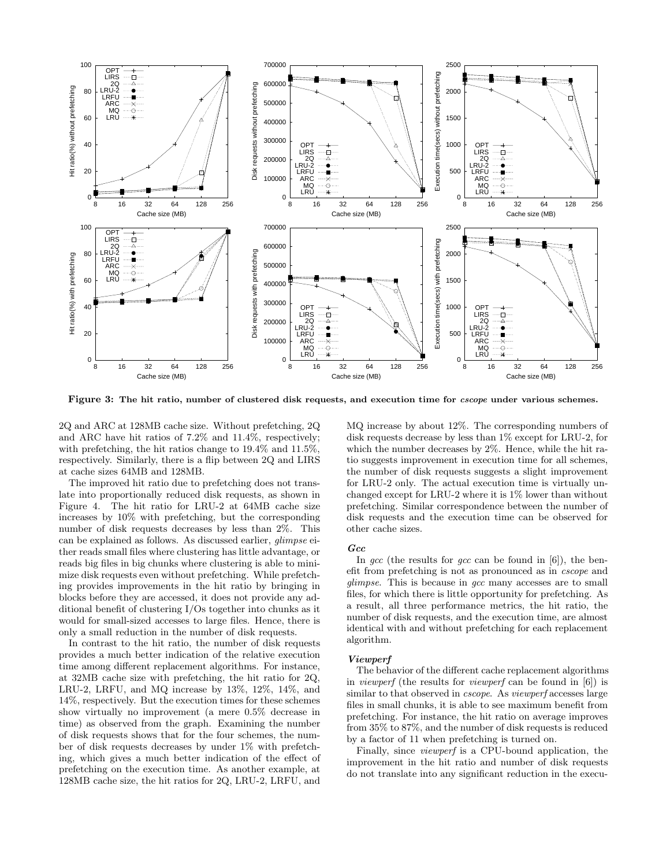

Figure 3: The hit ratio, number of clustered disk requests, and execution time for *cscope* under various schemes.

2Q and ARC at 128MB cache size. Without prefetching, 2Q and ARC have hit ratios of 7.2% and 11.4%, respectively; with prefetching, the hit ratios change to 19.4% and 11.5%, respectively. Similarly, there is a flip between 2Q and LIRS at cache sizes 64MB and 128MB.

The improved hit ratio due to prefetching does not translate into proportionally reduced disk requests, as shown in Figure 4. The hit ratio for LRU-2 at 64MB cache size increases by 10% with prefetching, but the corresponding number of disk requests decreases by less than 2%. This can be explained as follows. As discussed earlier, glimpse either reads small files where clustering has little advantage, or reads big files in big chunks where clustering is able to minimize disk requests even without prefetching. While prefetching provides improvements in the hit ratio by bringing in blocks before they are accessed, it does not provide any additional benefit of clustering I/Os together into chunks as it would for small-sized accesses to large files. Hence, there is only a small reduction in the number of disk requests.

In contrast to the hit ratio, the number of disk requests provides a much better indication of the relative execution time among different replacement algorithms. For instance, at 32MB cache size with prefetching, the hit ratio for 2Q, LRU-2, LRFU, and MQ increase by 13%, 12%, 14%, and 14%, respectively. But the execution times for these schemes show virtually no improvement (a mere 0.5% decrease in time) as observed from the graph. Examining the number of disk requests shows that for the four schemes, the number of disk requests decreases by under 1% with prefetching, which gives a much better indication of the effect of prefetching on the execution time. As another example, at 128MB cache size, the hit ratios for 2Q, LRU-2, LRFU, and MQ increase by about 12%. The corresponding numbers of disk requests decrease by less than 1% except for LRU-2, for which the number decreases by 2%. Hence, while the hit ratio suggests improvement in execution time for all schemes, the number of disk requests suggests a slight improvement for LRU-2 only. The actual execution time is virtually unchanged except for LRU-2 where it is 1% lower than without prefetching. Similar correspondence between the number of disk requests and the execution time can be observed for other cache sizes.

#### **Gcc**

In  $\rm{gcc}$  (the results for  $\rm{gcc}$  can be found in [6]), the benefit from prefetching is not as pronounced as in cscope and glimpse. This is because in gcc many accesses are to small files, for which there is little opportunity for prefetching. As a result, all three performance metrics, the hit ratio, the number of disk requests, and the execution time, are almost identical with and without prefetching for each replacement algorithm.

#### Viewperf

The behavior of the different cache replacement algorithms in viewperf (the results for viewperf can be found in [6]) is similar to that observed in *cscope*. As *viewperf* accesses large files in small chunks, it is able to see maximum benefit from prefetching. For instance, the hit ratio on average improves from 35% to 87%, and the number of disk requests is reduced by a factor of 11 when prefetching is turned on.

Finally, since viewperf is a CPU-bound application, the improvement in the hit ratio and number of disk requests do not translate into any significant reduction in the execu-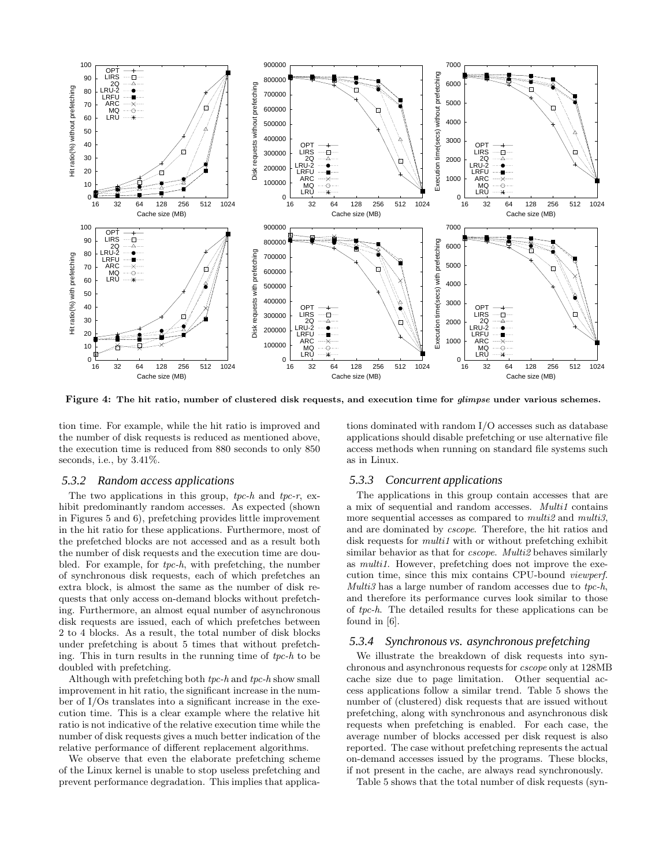

Figure 4: The hit ratio, number of clustered disk requests, and execution time for *glimpse* under various schemes.

tion time. For example, while the hit ratio is improved and the number of disk requests is reduced as mentioned above, the execution time is reduced from 880 seconds to only 850 seconds, i.e., by 3.41%.

### *5.3.2 Random access applications*

The two applications in this group,  $tpc-h$  and  $tpc-r$ , exhibit predominantly random accesses. As expected (shown in Figures 5 and 6), prefetching provides little improvement in the hit ratio for these applications. Furthermore, most of the prefetched blocks are not accessed and as a result both the number of disk requests and the execution time are doubled. For example, for tpc-h, with prefetching, the number of synchronous disk requests, each of which prefetches an extra block, is almost the same as the number of disk requests that only access on-demand blocks without prefetching. Furthermore, an almost equal number of asynchronous disk requests are issued, each of which prefetches between 2 to 4 blocks. As a result, the total number of disk blocks under prefetching is about 5 times that without prefetching. This in turn results in the running time of  $tpc-h$  to be doubled with prefetching.

Although with prefetching both tpc-h and tpc-h show small improvement in hit ratio, the significant increase in the number of I/Os translates into a significant increase in the execution time. This is a clear example where the relative hit ratio is not indicative of the relative execution time while the number of disk requests gives a much better indication of the relative performance of different replacement algorithms.

We observe that even the elaborate prefetching scheme of the Linux kernel is unable to stop useless prefetching and prevent performance degradation. This implies that applications dominated with random I/O accesses such as database applications should disable prefetching or use alternative file access methods when running on standard file systems such as in Linux.

### *5.3.3 Concurrent applications*

The applications in this group contain accesses that are a mix of sequential and random accesses. Multi1 contains more sequential accesses as compared to multi2 and multi3, and are dominated by cscope. Therefore, the hit ratios and disk requests for *multi1* with or without prefetching exhibit similar behavior as that for *cscope. Multi2* behaves similarly as multi1. However, prefetching does not improve the execution time, since this mix contains CPU-bound viewperf.  $Multi3$  has a large number of random accesses due to  $tpc-h$ , and therefore its performance curves look similar to those of tpc-h. The detailed results for these applications can be found in [6].

### *5.3.4 Synchronous vs. asynchronous prefetching*

We illustrate the breakdown of disk requests into synchronous and asynchronous requests for cscope only at 128MB cache size due to page limitation. Other sequential access applications follow a similar trend. Table 5 shows the number of (clustered) disk requests that are issued without prefetching, along with synchronous and asynchronous disk requests when prefetching is enabled. For each case, the average number of blocks accessed per disk request is also reported. The case without prefetching represents the actual on-demand accesses issued by the programs. These blocks, if not present in the cache, are always read synchronously.

Table 5 shows that the total number of disk requests (syn-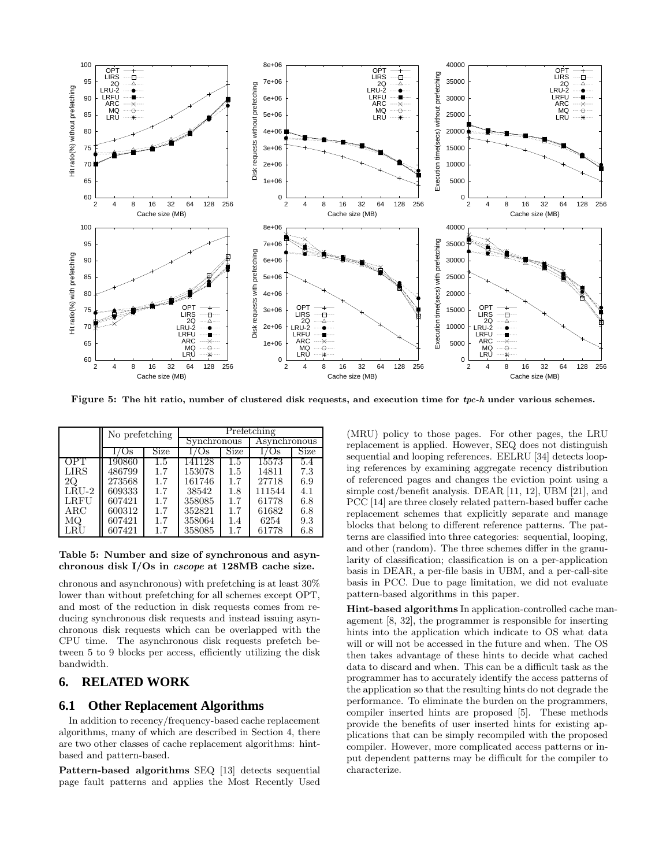

Figure 5: The hit ratio, number of clustered disk requests, and execution time for tpc-h under various schemes.

|             | No prefetching |             | Prefetching |      |              |      |
|-------------|----------------|-------------|-------------|------|--------------|------|
|             |                |             | Synchronous |      | Asynchronous |      |
|             | /(S)           | <b>Size</b> | Os.         | Size | Os           | Size |
| OPT         | 190860         | 1.5         | 141128      | 1.5  | 15573        | 5.4  |
| <b>LIRS</b> | 486799         | 1.7         | 153078      | 1.5  | 14811        | 7.3  |
| 2Q          | 273568         | 1.7         | 161746      | 1.7  | 27718        | 6.9  |
| $LRU-2$     | 609333         | 1.7         | 38542       | 1.8  | 111544       | 4.1  |
| LRFU        | 607421         | 1.7         | 358085      | 1.7  | 61778        | 6.8  |
| ABC         | 600312         | 1.7         | 352821      | 1.7  | 61682        | 6.8  |
| MQ          | 607421         | 1.7         | 358064      | 1.4  | 6254         | 9.3  |
| LRU         | 607421         | 1.7         | 358085      | 1.7  | 61778        | 6.8  |

### Table 5: Number and size of synchronous and asynchronous disk I/Os in cscope at 128MB cache size.

chronous and asynchronous) with prefetching is at least 30% lower than without prefetching for all schemes except OPT, and most of the reduction in disk requests comes from reducing synchronous disk requests and instead issuing asynchronous disk requests which can be overlapped with the CPU time. The asynchronous disk requests prefetch between 5 to 9 blocks per access, efficiently utilizing the disk bandwidth.

# **6. RELATED WORK**

# **6.1 Other Replacement Algorithms**

In addition to recency/frequency-based cache replacement algorithms, many of which are described in Section 4, there are two other classes of cache replacement algorithms: hintbased and pattern-based.

Pattern-based algorithms SEQ [13] detects sequential page fault patterns and applies the Most Recently Used

(MRU) policy to those pages. For other pages, the LRU replacement is applied. However, SEQ does not distinguish sequential and looping references. EELRU [34] detects looping references by examining aggregate recency distribution of referenced pages and changes the eviction point using a simple cost/benefit analysis. DEAR [11, 12], UBM [21], and PCC [14] are three closely related pattern-based buffer cache replacement schemes that explicitly separate and manage blocks that belong to different reference patterns. The patterns are classified into three categories: sequential, looping, and other (random). The three schemes differ in the granularity of classification; classification is on a per-application basis in DEAR, a per-file basis in UBM, and a per-call-site basis in PCC. Due to page limitation, we did not evaluate pattern-based algorithms in this paper.

Hint-based algorithms In application-controlled cache management [8, 32], the programmer is responsible for inserting hints into the application which indicate to OS what data will or will not be accessed in the future and when. The OS then takes advantage of these hints to decide what cached data to discard and when. This can be a difficult task as the programmer has to accurately identify the access patterns of the application so that the resulting hints do not degrade the performance. To eliminate the burden on the programmers, compiler inserted hints are proposed [5]. These methods provide the benefits of user inserted hints for existing applications that can be simply recompiled with the proposed compiler. However, more complicated access patterns or input dependent patterns may be difficult for the compiler to characterize.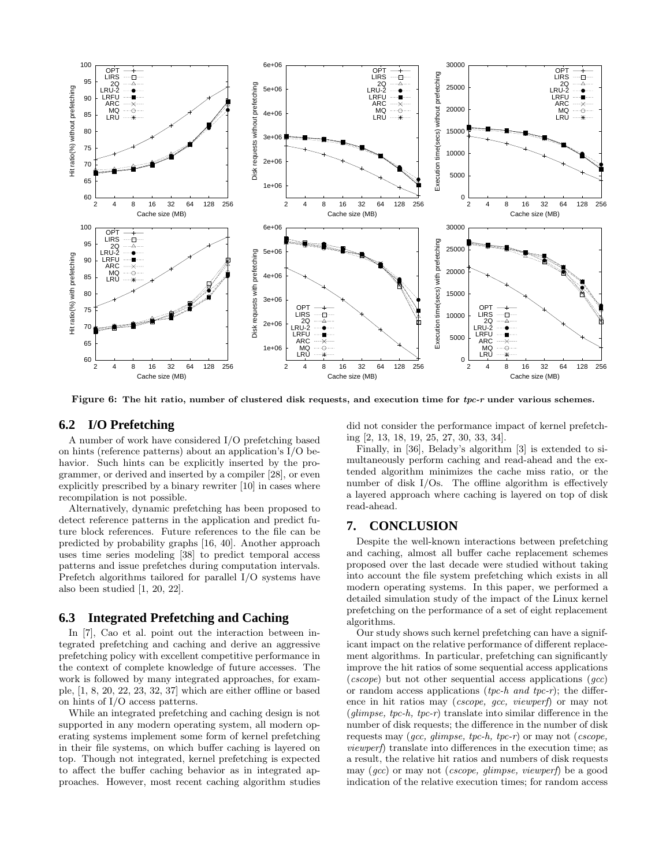

Figure 6: The hit ratio, number of clustered disk requests, and execution time for tpc-r under various schemes.

## **6.2 I/O Prefetching**

A number of work have considered I/O prefetching based on hints (reference patterns) about an application's I/O behavior. Such hints can be explicitly inserted by the programmer, or derived and inserted by a compiler [28], or even explicitly prescribed by a binary rewriter [10] in cases where recompilation is not possible.

Alternatively, dynamic prefetching has been proposed to detect reference patterns in the application and predict future block references. Future references to the file can be predicted by probability graphs [16, 40]. Another approach uses time series modeling [38] to predict temporal access patterns and issue prefetches during computation intervals. Prefetch algorithms tailored for parallel I/O systems have also been studied [1, 20, 22].

## **6.3 Integrated Prefetching and Caching**

In [7], Cao et al. point out the interaction between integrated prefetching and caching and derive an aggressive prefetching policy with excellent competitive performance in the context of complete knowledge of future accesses. The work is followed by many integrated approaches, for example, [1, 8, 20, 22, 23, 32, 37] which are either offline or based on hints of I/O access patterns.

While an integrated prefetching and caching design is not supported in any modern operating system, all modern operating systems implement some form of kernel prefetching in their file systems, on which buffer caching is layered on top. Though not integrated, kernel prefetching is expected to affect the buffer caching behavior as in integrated approaches. However, most recent caching algorithm studies did not consider the performance impact of kernel prefetching [2, 13, 18, 19, 25, 27, 30, 33, 34].

Finally, in [36], Belady's algorithm [3] is extended to simultaneously perform caching and read-ahead and the extended algorithm minimizes the cache miss ratio, or the number of disk I/Os. The offline algorithm is effectively a layered approach where caching is layered on top of disk read-ahead.

# **7. CONCLUSION**

Despite the well-known interactions between prefetching and caching, almost all buffer cache replacement schemes proposed over the last decade were studied without taking into account the file system prefetching which exists in all modern operating systems. In this paper, we performed a detailed simulation study of the impact of the Linux kernel prefetching on the performance of a set of eight replacement algorithms.

Our study shows such kernel prefetching can have a significant impact on the relative performance of different replacement algorithms. In particular, prefetching can significantly improve the hit ratios of some sequential access applications (cscope) but not other sequential access applications  $(qcc)$ or random access applications (tpc-h and tpc-r); the difference in hit ratios may (*cscope*, *gcc*, *viewperf*) or may not  $(qlimpse, tpc-h, tpc-r)$  translate into similar difference in the number of disk requests; the difference in the number of disk requests may (gcc, glimpse, tpc-h, tpc-r) or may not (cscope, viewperf) translate into differences in the execution time; as a result, the relative hit ratios and numbers of disk requests may (gcc) or may not (cscope, glimpse, viewperf) be a good indication of the relative execution times; for random access